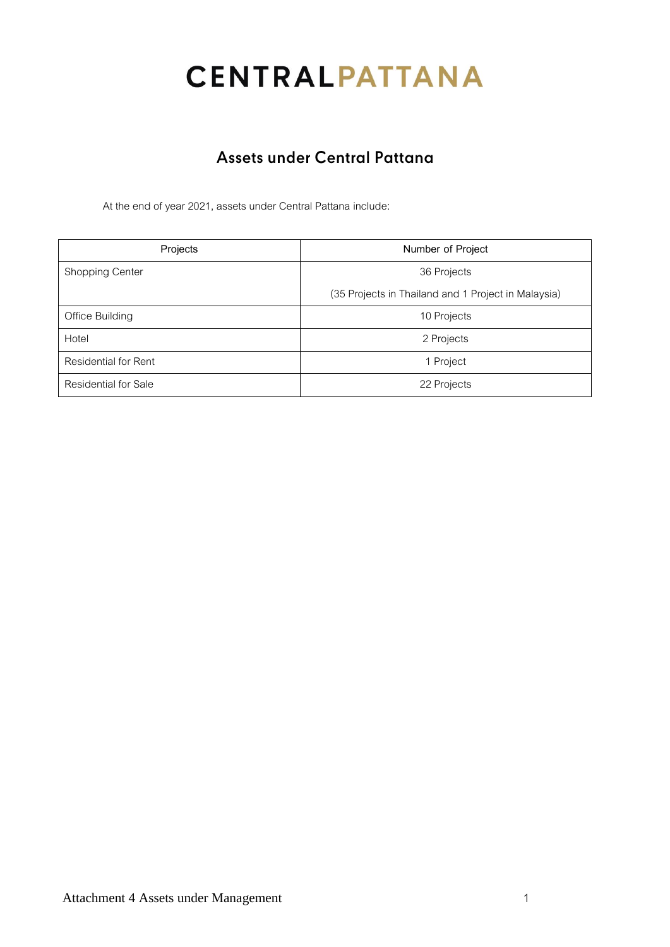# **CENTRALPATTANA**

## Assets under Central Pattana

At the end of year 2021, assets under Central Pattana include:

| Projects                    | Number of Project                                   |
|-----------------------------|-----------------------------------------------------|
| Shopping Center             | 36 Projects                                         |
|                             | (35 Projects in Thailand and 1 Project in Malaysia) |
| Office Building             | 10 Projects                                         |
| Hotel                       | 2 Projects                                          |
| <b>Residential for Rent</b> | 1 Project                                           |
| <b>Residential for Sale</b> | 22 Projects                                         |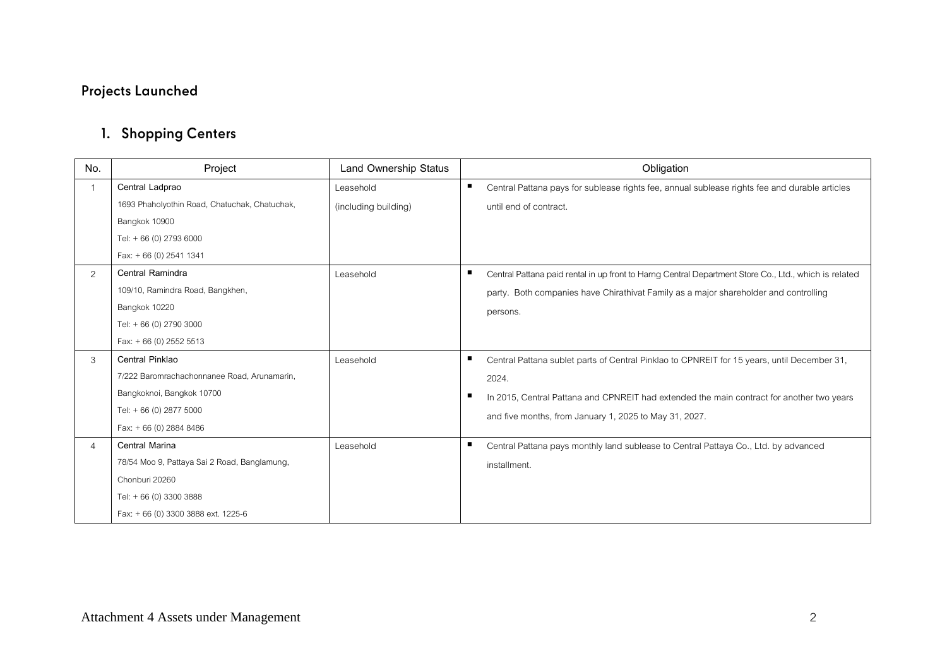# **Projects Launched**

# 1. Shopping Centers

| No.            | Project                                       | Land Ownership Status | Obligation                                                                                                 |
|----------------|-----------------------------------------------|-----------------------|------------------------------------------------------------------------------------------------------------|
|                | Central Ladprao                               | I easehold            | п<br>Central Pattana pays for sublease rights fee, annual sublease rights fee and durable articles         |
|                | 1693 Phaholyothin Road, Chatuchak, Chatuchak, | (including building)  | until end of contract.                                                                                     |
|                | Bangkok 10900                                 |                       |                                                                                                            |
|                | Tel: +66 (0) 2793 6000                        |                       |                                                                                                            |
|                | Fax: $+66(0)$ 2541 1341                       |                       |                                                                                                            |
| $\overline{2}$ | Central Ramindra                              | Leasehold             | ш<br>Central Pattana paid rental in up front to Harng Central Department Store Co., Ltd., which is related |
|                | 109/10, Ramindra Road, Bangkhen,              |                       | party. Both companies have Chirathivat Family as a major shareholder and controlling                       |
|                | Bangkok 10220                                 |                       | persons.                                                                                                   |
|                | Tel: +66 (0) 2790 3000                        |                       |                                                                                                            |
|                | Fax: $+66$ (0) 2552 5513                      |                       |                                                                                                            |
| 3              | Central Pinklao                               | Leasehold             | Central Pattana sublet parts of Central Pinklao to CPNREIT for 15 years, until December 31,                |
|                | 7/222 Baromrachachonnanee Road, Arunamarin,   |                       | 2024.                                                                                                      |
|                | Bangkoknoi, Bangkok 10700                     |                       | In 2015, Central Pattana and CPNREIT had extended the main contract for another two years                  |
|                | Tel: +66 (0) 2877 5000                        |                       | and five months, from January 1, 2025 to May 31, 2027.                                                     |
|                | Fax: +66 (0) 2884 8486                        |                       |                                                                                                            |
| 4              | <b>Central Marina</b>                         | Leasehold             | ш<br>Central Pattana pays monthly land sublease to Central Pattaya Co., Ltd. by advanced                   |
|                | 78/54 Moo 9, Pattaya Sai 2 Road, Banglamung,  |                       | installment.                                                                                               |
|                | Chonburi 20260                                |                       |                                                                                                            |
|                | Tel: +66 (0) 3300 3888                        |                       |                                                                                                            |
|                | Fax: +66 (0) 3300 3888 ext. 1225-6            |                       |                                                                                                            |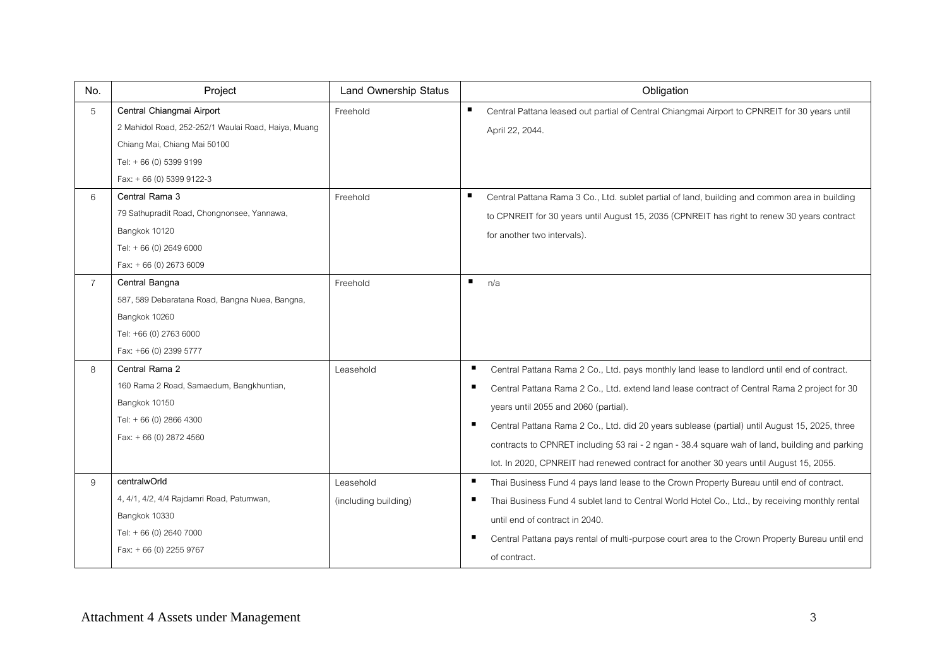| No.            | Project                                                                                                                                                                 | Land Ownership Status             | Obligation                                                                                                                                                                                                                                                                                                                                                                                                                                                                                                                                     |
|----------------|-------------------------------------------------------------------------------------------------------------------------------------------------------------------------|-----------------------------------|------------------------------------------------------------------------------------------------------------------------------------------------------------------------------------------------------------------------------------------------------------------------------------------------------------------------------------------------------------------------------------------------------------------------------------------------------------------------------------------------------------------------------------------------|
| 5              | Central Chiangmai Airport<br>2 Mahidol Road, 252-252/1 Waulai Road, Haiya, Muang<br>Chiang Mai, Chiang Mai 50100<br>Tel: +66 (0) 5399 9199<br>Fax: $+66(0)$ 5399 9122-3 | Freehold                          | п<br>Central Pattana leased out partial of Central Chiangmai Airport to CPNREIT for 30 years until<br>April 22, 2044.                                                                                                                                                                                                                                                                                                                                                                                                                          |
| 6              | Central Rama 3<br>79 Sathupradit Road, Chongnonsee, Yannawa,<br>Bangkok 10120<br>Tel: +66 (0) 2649 6000<br>Fax: $+66(0)$ 2673 6009                                      | Freehold                          | ٠<br>Central Pattana Rama 3 Co., Ltd. sublet partial of land, building and common area in building<br>to CPNREIT for 30 years until August 15, 2035 (CPNREIT has right to renew 30 years contract<br>for another two intervals).                                                                                                                                                                                                                                                                                                               |
| $\overline{7}$ | Central Bangna<br>587, 589 Debaratana Road, Bangna Nuea, Bangna,<br>Bangkok 10260<br>Tel: +66 (0) 2763 6000<br>Fax: +66 (0) 2399 5777                                   | Freehold                          | $\blacksquare$<br>n/a                                                                                                                                                                                                                                                                                                                                                                                                                                                                                                                          |
| 8              | Central Rama 2<br>160 Rama 2 Road, Samaedum, Bangkhuntian,<br>Bangkok 10150<br>Tel: +66 (0) 2866 4300<br>Fax: +66 (0) 2872 4560                                         | Leasehold                         | ٠<br>Central Pattana Rama 2 Co., Ltd. pays monthly land lease to landlord until end of contract.<br>п<br>Central Pattana Rama 2 Co., Ltd. extend land lease contract of Central Rama 2 project for 30<br>years until 2055 and 2060 (partial).<br>п<br>Central Pattana Rama 2 Co., Ltd. did 20 years sublease (partial) until August 15, 2025, three<br>contracts to CPNRET including 53 rai - 2 ngan - 38.4 square wah of land, building and parking<br>lot. In 2020, CPNREIT had renewed contract for another 30 years until August 15, 2055. |
| 9              | centralwOrld<br>4, 4/1, 4/2, 4/4 Rajdamri Road, Patumwan,<br>Bangkok 10330<br>Tel: +66 (0) 2640 7000<br>Fax: + 66 (0) 2255 9767                                         | Leasehold<br>(including building) | л<br>Thai Business Fund 4 pays land lease to the Crown Property Bureau until end of contract.<br>п<br>Thai Business Fund 4 sublet land to Central World Hotel Co., Ltd., by receiving monthly rental<br>until end of contract in 2040.<br>п<br>Central Pattana pays rental of multi-purpose court area to the Crown Property Bureau until end<br>of contract.                                                                                                                                                                                  |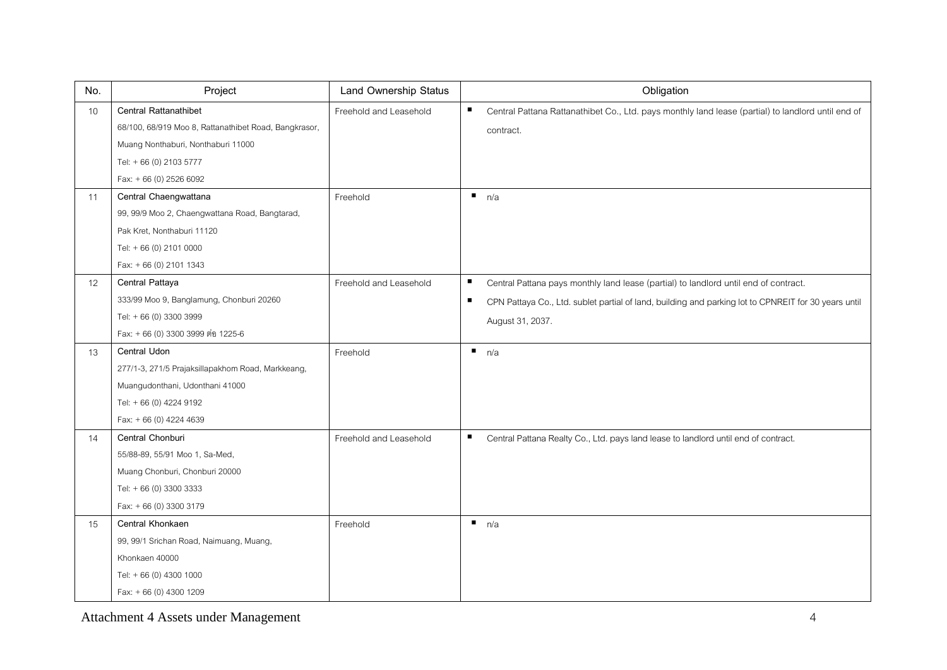| No. | Project                                               | <b>Land Ownership Status</b> | Obligation                                                                                                             |
|-----|-------------------------------------------------------|------------------------------|------------------------------------------------------------------------------------------------------------------------|
| 10  | <b>Central Rattanathibet</b>                          | Freehold and Leasehold       | п<br>Central Pattana Rattanathibet Co., Ltd. pays monthly land lease (partial) to landlord until end of                |
|     | 68/100, 68/919 Moo 8, Rattanathibet Road, Bangkrasor, |                              | contract.                                                                                                              |
|     | Muang Nonthaburi, Nonthaburi 11000                    |                              |                                                                                                                        |
|     | Tel: +66 (0) 2103 5777                                |                              |                                                                                                                        |
|     | Fax: +66 (0) 2526 6092                                |                              |                                                                                                                        |
| 11  | Central Chaengwattana                                 | Freehold                     | n/a                                                                                                                    |
|     | 99, 99/9 Moo 2, Chaengwattana Road, Bangtarad,        |                              |                                                                                                                        |
|     | Pak Kret, Nonthaburi 11120                            |                              |                                                                                                                        |
|     | Tel: +66 (0) 2101 0000                                |                              |                                                                                                                        |
|     | Fax: $+66(0)$ 2101 1343                               |                              |                                                                                                                        |
| 12  | Central Pattaya                                       | Freehold and Leasehold       | п<br>Central Pattana pays monthly land lease (partial) to landlord until end of contract.                              |
|     | 333/99 Moo 9, Banglamung, Chonburi 20260              |                              | $\blacksquare$<br>CPN Pattaya Co., Ltd. sublet partial of land, building and parking lot to CPNREIT for 30 years until |
|     | Tel: +66 (0) 3300 3999                                |                              | August 31, 2037.                                                                                                       |
|     | Fax: + 66 (0) 3300 3999 ต่อ 1225-6                    |                              |                                                                                                                        |
| 13  | Central Udon                                          | Freehold                     | n/a                                                                                                                    |
|     | 277/1-3, 271/5 Prajaksillapakhom Road, Markkeang,     |                              |                                                                                                                        |
|     | Muangudonthani, Udonthani 41000                       |                              |                                                                                                                        |
|     | Tel: +66 (0) 4224 9192                                |                              |                                                                                                                        |
|     | Fax: +66 (0) 4224 4639                                |                              |                                                                                                                        |
| 14  | Central Chonburi                                      | Freehold and Leasehold       | ٠<br>Central Pattana Realty Co., Ltd. pays land lease to landlord until end of contract.                               |
|     | 55/88-89, 55/91 Moo 1, Sa-Med,                        |                              |                                                                                                                        |
|     | Muang Chonburi, Chonburi 20000                        |                              |                                                                                                                        |
|     | Tel: +66 (0) 3300 3333                                |                              |                                                                                                                        |
|     | Fax: +66 (0) 3300 3179                                |                              |                                                                                                                        |
| 15  | Central Khonkaen                                      | Freehold                     | n/a                                                                                                                    |
|     | 99, 99/1 Srichan Road, Naimuang, Muang,               |                              |                                                                                                                        |
|     | Khonkaen 40000                                        |                              |                                                                                                                        |
|     | Tel: +66 (0) 4300 1000                                |                              |                                                                                                                        |
|     | Fax: +66 (0) 4300 1209                                |                              |                                                                                                                        |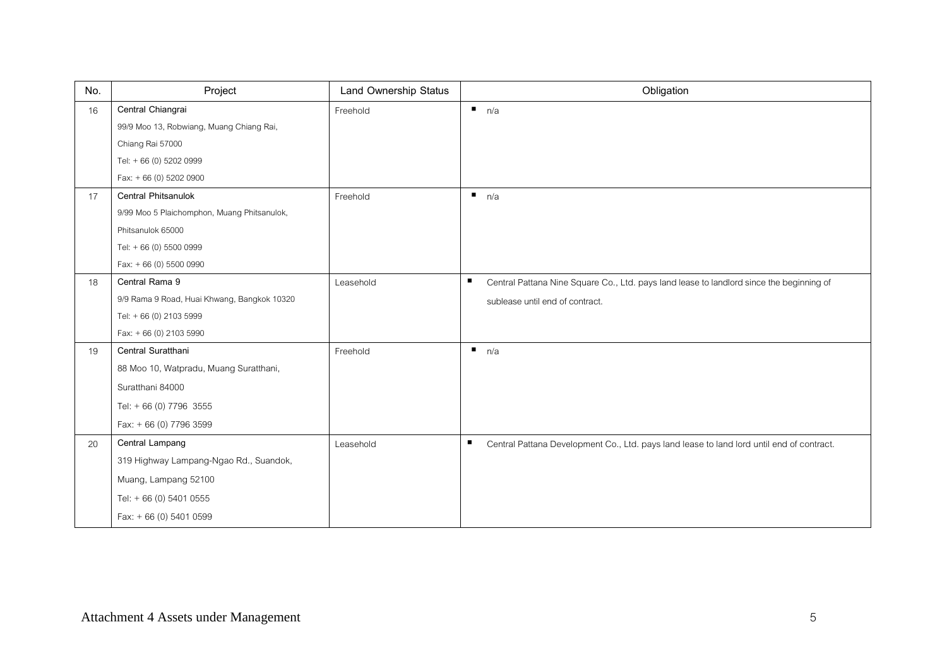| No. | Project                                     | <b>Land Ownership Status</b> | Obligation                                                                                     |
|-----|---------------------------------------------|------------------------------|------------------------------------------------------------------------------------------------|
| 16  | Central Chiangrai                           | Freehold                     | n/a                                                                                            |
|     | 99/9 Moo 13, Robwiang, Muang Chiang Rai,    |                              |                                                                                                |
|     | Chiang Rai 57000                            |                              |                                                                                                |
|     | Tel: +66 (0) 5202 0999                      |                              |                                                                                                |
|     | Fax: +66 (0) 5202 0900                      |                              |                                                                                                |
| 17  | Central Phitsanulok                         | Freehold                     | $\blacksquare$<br>n/a                                                                          |
|     | 9/99 Moo 5 Plaichomphon, Muang Phitsanulok, |                              |                                                                                                |
|     | Phitsanulok 65000                           |                              |                                                                                                |
|     | Tel: +66 (0) 5500 0999                      |                              |                                                                                                |
|     | Fax: +66 (0) 5500 0990                      |                              |                                                                                                |
| 18  | Central Rama 9                              | Leasehold                    | п<br>Central Pattana Nine Square Co., Ltd. pays land lease to landlord since the beginning of  |
|     | 9/9 Rama 9 Road, Huai Khwang, Bangkok 10320 |                              | sublease until end of contract.                                                                |
|     | Tel: +66 (0) 2103 5999                      |                              |                                                                                                |
|     | Fax: $+66(0)$ 2103 5990                     |                              |                                                                                                |
| 19  | Central Suratthani                          | Freehold                     | $\blacksquare$<br>n/a                                                                          |
|     | 88 Moo 10, Watpradu, Muang Suratthani,      |                              |                                                                                                |
|     | Suratthani 84000                            |                              |                                                                                                |
|     | Tel: + 66 (0) 7796 3555                     |                              |                                                                                                |
|     | Fax: + 66 (0) 7796 3599                     |                              |                                                                                                |
| 20  | Central Lampang                             | Leasehold                    | п<br>Central Pattana Development Co., Ltd. pays land lease to land lord until end of contract. |
|     | 319 Highway Lampang-Ngao Rd., Suandok,      |                              |                                                                                                |
|     | Muang, Lampang 52100                        |                              |                                                                                                |
|     | Tel: $+ 66$ (0) 5401 0555                   |                              |                                                                                                |
|     | Fax: +66 (0) 5401 0599                      |                              |                                                                                                |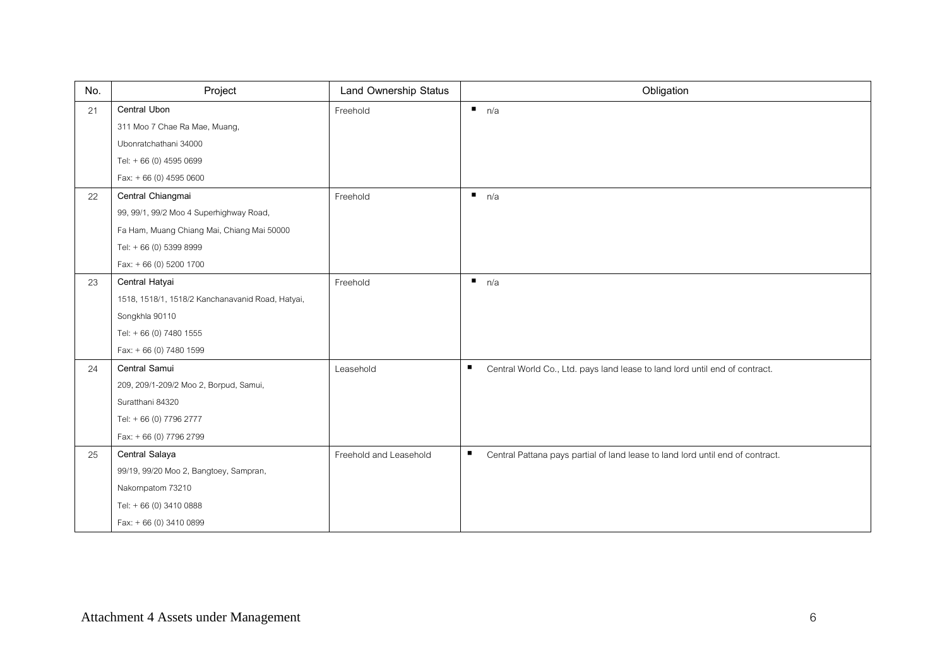| No. | Project                                          | Land Ownership Status  | Obligation                                                                                    |
|-----|--------------------------------------------------|------------------------|-----------------------------------------------------------------------------------------------|
| 21  | Central Ubon                                     | Freehold               | n/a                                                                                           |
|     | 311 Moo 7 Chae Ra Mae, Muang,                    |                        |                                                                                               |
|     | Ubonratchathani 34000                            |                        |                                                                                               |
|     | Tel: +66 (0) 4595 0699                           |                        |                                                                                               |
|     | Fax: $+66(0)$ 4595 0600                          |                        |                                                                                               |
| 22  | Central Chiangmai                                | Freehold               | n/a                                                                                           |
|     | 99, 99/1, 99/2 Moo 4 Superhighway Road,          |                        |                                                                                               |
|     | Fa Ham, Muang Chiang Mai, Chiang Mai 50000       |                        |                                                                                               |
|     | Tel: +66 (0) 5399 8999                           |                        |                                                                                               |
|     | Fax: + 66 (0) 5200 1700                          |                        |                                                                                               |
| 23  | Central Hatyai                                   | Freehold               | $\blacksquare$<br>n/a                                                                         |
|     | 1518, 1518/1, 1518/2 Kanchanavanid Road, Hatyai, |                        |                                                                                               |
|     | Songkhla 90110                                   |                        |                                                                                               |
|     | Tel: +66 (0) 7480 1555                           |                        |                                                                                               |
|     | Fax: + 66 (0) 7480 1599                          |                        |                                                                                               |
| 24  | Central Samui                                    | Leasehold              | $\blacksquare$<br>Central World Co., Ltd. pays land lease to land lord until end of contract. |
|     | 209, 209/1-209/2 Moo 2, Borpud, Samui,           |                        |                                                                                               |
|     | Suratthani 84320                                 |                        |                                                                                               |
|     | Tel: +66 (0) 7796 2777                           |                        |                                                                                               |
|     | Fax: + 66 (0) 7796 2799                          |                        |                                                                                               |
| 25  | Central Salaya                                   | Freehold and Leasehold | п<br>Central Pattana pays partial of land lease to land lord until end of contract.           |
|     | 99/19, 99/20 Moo 2, Bangtoey, Sampran,           |                        |                                                                                               |
|     | Nakornpatom 73210                                |                        |                                                                                               |
|     | Tel: +66 (0) 3410 0888                           |                        |                                                                                               |
|     | Fax: + 66 (0) 3410 0899                          |                        |                                                                                               |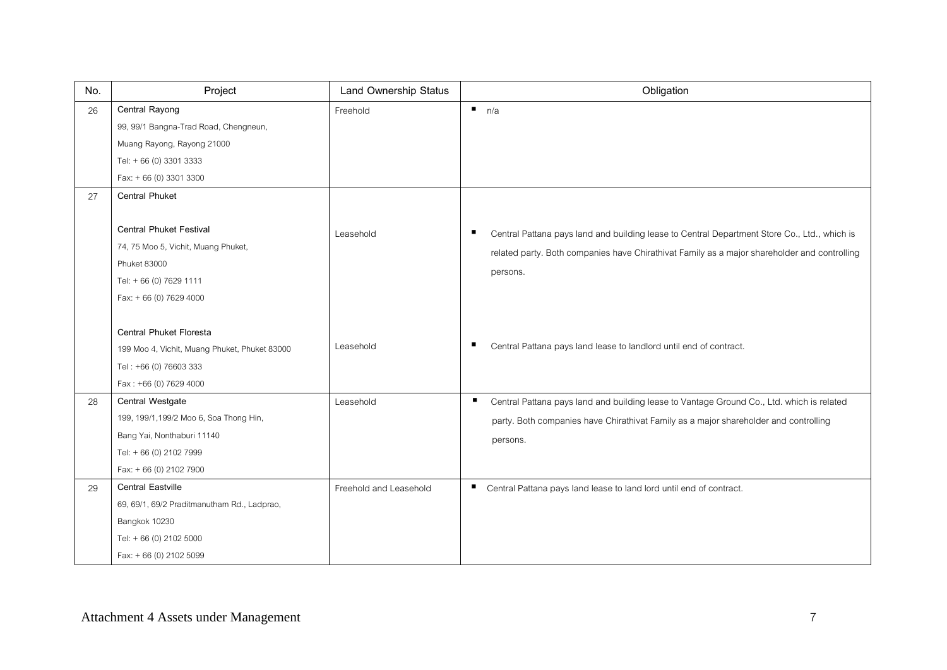| No. | Project                                                                                                                                           | <b>Land Ownership Status</b> | Obligation                                                                                                                                                                                                    |
|-----|---------------------------------------------------------------------------------------------------------------------------------------------------|------------------------------|---------------------------------------------------------------------------------------------------------------------------------------------------------------------------------------------------------------|
| 26  | Central Rayong                                                                                                                                    | Freehold                     | $\blacksquare$<br>n/a                                                                                                                                                                                         |
|     | 99, 99/1 Bangna-Trad Road, Chengneun,                                                                                                             |                              |                                                                                                                                                                                                               |
|     | Muang Rayong, Rayong 21000                                                                                                                        |                              |                                                                                                                                                                                                               |
|     | Tel: +66 (0) 3301 3333                                                                                                                            |                              |                                                                                                                                                                                                               |
|     | Fax: + 66 (0) 3301 3300                                                                                                                           |                              |                                                                                                                                                                                                               |
| 27  | <b>Central Phuket</b>                                                                                                                             |                              |                                                                                                                                                                                                               |
|     | <b>Central Phuket Festival</b><br>74, 75 Moo 5, Vichit, Muang Phuket,<br><b>Phuket 83000</b><br>Tel: +66 (0) 7629 1111<br>Fax: + 66 (0) 7629 4000 | Leasehold                    | Central Pattana pays land and building lease to Central Department Store Co., Ltd., which is<br>ш<br>related party. Both companies have Chirathivat Family as a major shareholder and controlling<br>persons. |
|     | Central Phuket Floresta<br>199 Moo 4, Vichit, Muang Phuket, Phuket 83000<br>Tel: +66 (0) 76603 333<br>Fax: +66 (0) 7629 4000                      | I easehold                   | Central Pattana pays land lease to landlord until end of contract.<br>п                                                                                                                                       |
| 28  | Central Westgate                                                                                                                                  | Leasehold                    | Е<br>Central Pattana pays land and building lease to Vantage Ground Co., Ltd. which is related                                                                                                                |
|     | 199, 199/1,199/2 Moo 6, Soa Thong Hin,                                                                                                            |                              | party. Both companies have Chirathivat Family as a major shareholder and controlling                                                                                                                          |
|     | Bang Yai, Nonthaburi 11140                                                                                                                        |                              | persons.                                                                                                                                                                                                      |
|     | Tel: +66 (0) 2102 7999                                                                                                                            |                              |                                                                                                                                                                                                               |
|     | Fax: + 66 (0) 2102 7900                                                                                                                           |                              |                                                                                                                                                                                                               |
| 29  | <b>Central Eastville</b>                                                                                                                          | Freehold and Leasehold       | п<br>Central Pattana pays land lease to land lord until end of contract.                                                                                                                                      |
|     | 69, 69/1, 69/2 Praditmanutham Rd., Ladprao,                                                                                                       |                              |                                                                                                                                                                                                               |
|     | Bangkok 10230                                                                                                                                     |                              |                                                                                                                                                                                                               |
|     | Tel: +66 (0) 2102 5000                                                                                                                            |                              |                                                                                                                                                                                                               |
|     | Fax: +66 (0) 2102 5099                                                                                                                            |                              |                                                                                                                                                                                                               |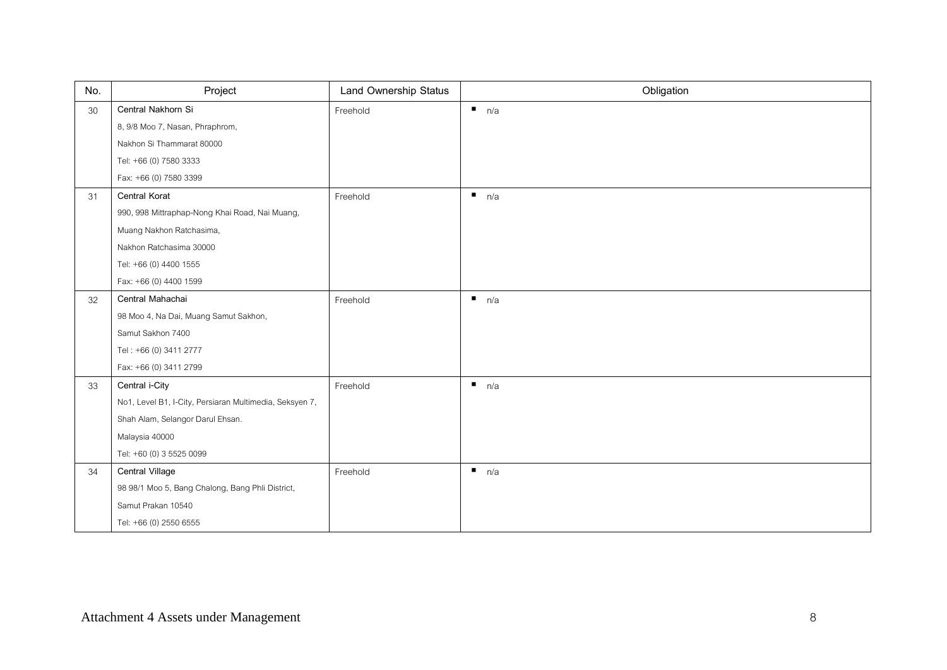| No.    | Project                                                 | Land Ownership Status | Obligation            |
|--------|---------------------------------------------------------|-----------------------|-----------------------|
| $30\,$ | Central Nakhorn Si                                      | Freehold              | $\blacksquare$<br>n/a |
|        | 8, 9/8 Moo 7, Nasan, Phraphrom,                         |                       |                       |
|        | Nakhon Si Thammarat 80000                               |                       |                       |
|        | Tel: +66 (0) 7580 3333                                  |                       |                       |
|        | Fax: +66 (0) 7580 3399                                  |                       |                       |
| 31     | Central Korat                                           | Freehold              | n/a                   |
|        | 990, 998 Mittraphap-Nong Khai Road, Nai Muang,          |                       |                       |
|        | Muang Nakhon Ratchasima,                                |                       |                       |
|        | Nakhon Ratchasima 30000                                 |                       |                       |
|        | Tel: +66 (0) 4400 1555                                  |                       |                       |
|        | Fax: +66 (0) 4400 1599                                  |                       |                       |
| 32     | Central Mahachai                                        | Freehold              | $\blacksquare$<br>n/a |
|        | 98 Moo 4, Na Dai, Muang Samut Sakhon,                   |                       |                       |
|        | Samut Sakhon 7400                                       |                       |                       |
|        | Tel: +66 (0) 3411 2777                                  |                       |                       |
|        | Fax: +66 (0) 3411 2799                                  |                       |                       |
| 33     | Central i-City                                          | Freehold              | n/a                   |
|        | No1, Level B1, I-City, Persiaran Multimedia, Seksyen 7, |                       |                       |
|        | Shah Alam, Selangor Darul Ehsan.                        |                       |                       |
|        | Malaysia 40000                                          |                       |                       |
|        | Tel: +60 (0) 3 5525 0099                                |                       |                       |
| 34     | Central Village                                         | Freehold              | n/a                   |
|        | 98 98/1 Moo 5, Bang Chalong, Bang Phli District,        |                       |                       |
|        | Samut Prakan 10540                                      |                       |                       |
|        | Tel: +66 (0) 2550 6555                                  |                       |                       |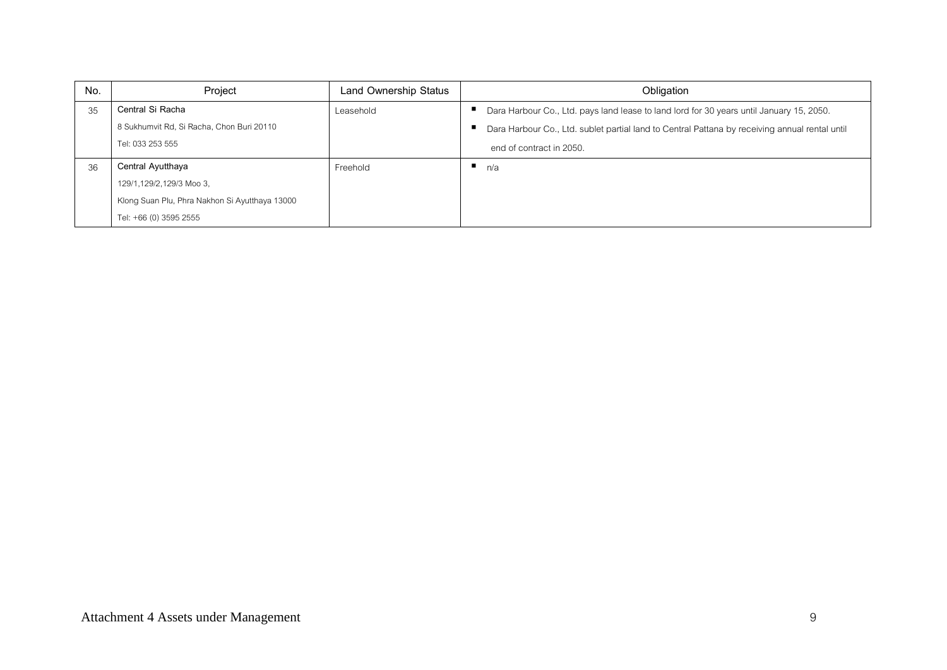| No. | Project                                        | Land Ownership Status | Obligation                                                                                     |
|-----|------------------------------------------------|-----------------------|------------------------------------------------------------------------------------------------|
| 35  | Central Si Racha                               | Leasehold             | Dara Harbour Co., Ltd. pays land lease to land lord for 30 years until January 15, 2050.       |
|     | 8 Sukhumvit Rd, Si Racha, Chon Buri 20110      |                       | Dara Harbour Co., Ltd. sublet partial land to Central Pattana by receiving annual rental until |
|     | Tel: 033 253 555                               |                       | end of contract in 2050.                                                                       |
| 36  | Central Ayutthaya                              | Freehold              | n/a                                                                                            |
|     | 129/1,129/2,129/3 Moo 3,                       |                       |                                                                                                |
|     | Klong Suan Plu, Phra Nakhon Si Ayutthaya 13000 |                       |                                                                                                |
|     | Tel: +66 (0) 3595 2555                         |                       |                                                                                                |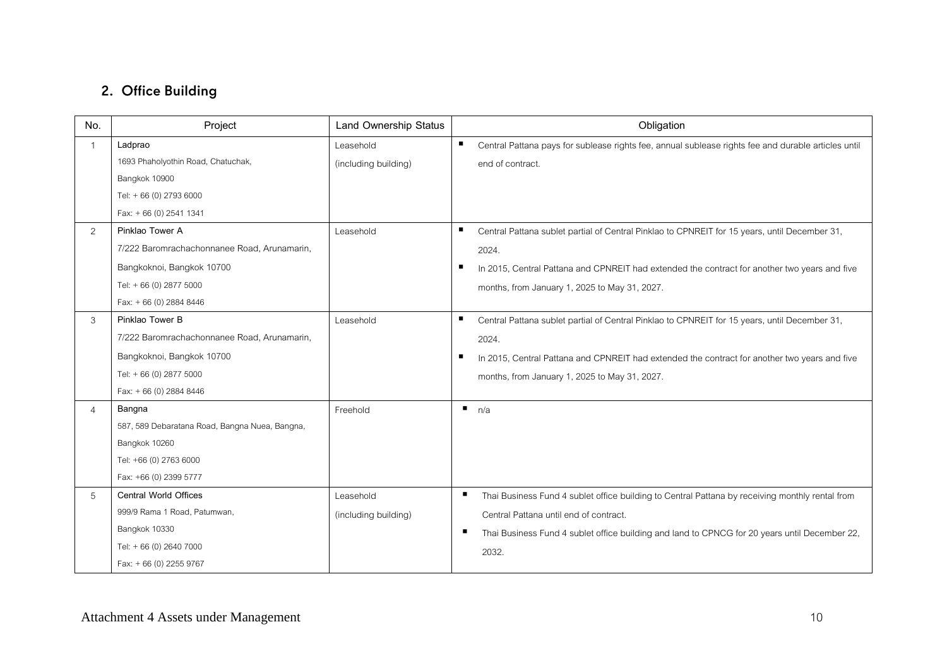## 2. Office Building

| No.            | Project                                        | <b>Land Ownership Status</b> | Obligation                                                                                           |
|----------------|------------------------------------------------|------------------------------|------------------------------------------------------------------------------------------------------|
|                | Ladprao                                        | Leasehold                    | Central Pattana pays for sublease rights fee, annual sublease rights fee and durable articles until  |
|                | 1693 Phaholyothin Road, Chatuchak,             | (including building)         | end of contract.                                                                                     |
|                | Bangkok 10900                                  |                              |                                                                                                      |
|                | Tel: +66 (0) 2793 6000                         |                              |                                                                                                      |
|                | Fax: $+66(0)$ 2541 1341                        |                              |                                                                                                      |
| 2              | Pinklao Tower A                                | Leasehold                    | Central Pattana sublet partial of Central Pinklao to CPNREIT for 15 years, until December 31,        |
|                | 7/222 Baromrachachonnanee Road, Arunamarin,    |                              | 2024.                                                                                                |
|                | Bangkoknoi, Bangkok 10700                      |                              | In 2015, Central Pattana and CPNREIT had extended the contract for another two years and five        |
|                | Tel: +66 (0) 2877 5000                         |                              | months, from January 1, 2025 to May 31, 2027.                                                        |
|                | Fax: $+66(0)$ 2884 8446                        |                              |                                                                                                      |
| 3              | Pinklao Tower B                                | I easehold                   | ٠<br>Central Pattana sublet partial of Central Pinklao to CPNREIT for 15 years, until December 31,   |
|                | 7/222 Baromrachachonnanee Road, Arunamarin,    |                              | 2024.                                                                                                |
|                | Bangkoknoi, Bangkok 10700                      |                              | In 2015, Central Pattana and CPNREIT had extended the contract for another two years and five<br>п   |
|                | Tel: +66 (0) 2877 5000                         |                              | months, from January 1, 2025 to May 31, 2027.                                                        |
|                | Fax: +66 (0) 2884 8446                         |                              |                                                                                                      |
| $\overline{4}$ | Bangna                                         | Freehold                     | $\blacksquare$<br>n/a                                                                                |
|                | 587, 589 Debaratana Road, Bangna Nuea, Bangna, |                              |                                                                                                      |
|                | Bangkok 10260                                  |                              |                                                                                                      |
|                | Tel: +66 (0) 2763 6000                         |                              |                                                                                                      |
|                | Fax: +66 (0) 2399 5777                         |                              |                                                                                                      |
| 5              | <b>Central World Offices</b>                   | Leasehold                    | л<br>Thai Business Fund 4 sublet office building to Central Pattana by receiving monthly rental from |
|                | 999/9 Rama 1 Road, Patumwan,                   | (including building)         | Central Pattana until end of contract.                                                               |
|                | Bangkok 10330                                  |                              | п<br>Thai Business Fund 4 sublet office building and land to CPNCG for 20 years until December 22,   |
|                | Tel: +66 (0) 2640 7000                         |                              | 2032.                                                                                                |
|                | Fax: + 66 (0) 2255 9767                        |                              |                                                                                                      |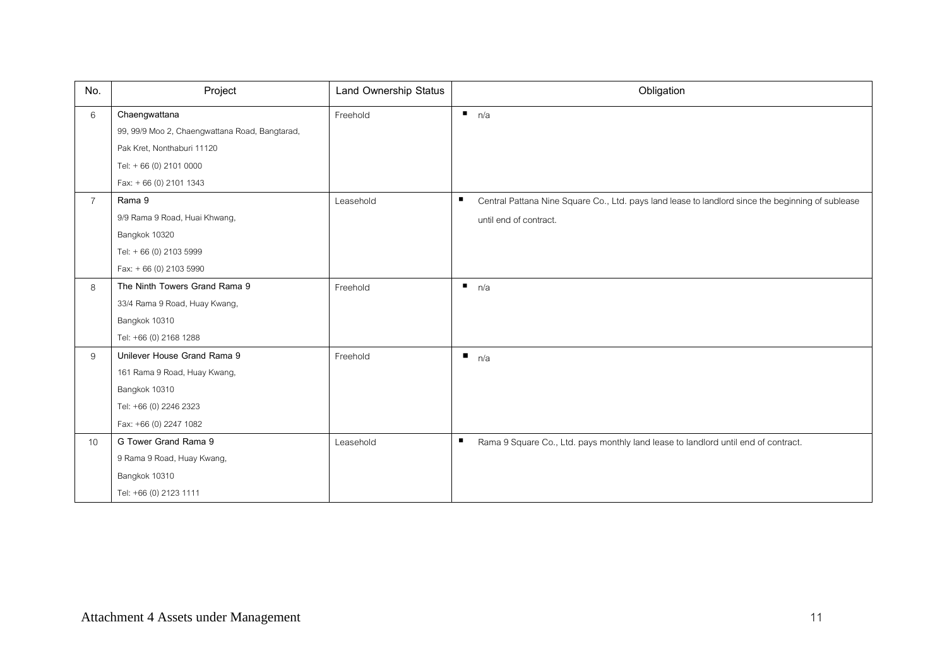| No.             | Project                                        | Land Ownership Status | Obligation                                                                                             |
|-----------------|------------------------------------------------|-----------------------|--------------------------------------------------------------------------------------------------------|
| 6               | Chaengwattana                                  | Freehold              | n/a                                                                                                    |
|                 | 99, 99/9 Moo 2, Chaengwattana Road, Bangtarad, |                       |                                                                                                        |
|                 | Pak Kret, Nonthaburi 11120                     |                       |                                                                                                        |
|                 | Tel: +66 (0) 2101 0000                         |                       |                                                                                                        |
|                 | Fax: $+66(0)$ 2101 1343                        |                       |                                                                                                        |
| $\overline{7}$  | Rama 9                                         | Leasehold             | ٠<br>Central Pattana Nine Square Co., Ltd. pays land lease to landlord since the beginning of sublease |
|                 | 9/9 Rama 9 Road, Huai Khwang,                  |                       | until end of contract.                                                                                 |
|                 | Bangkok 10320                                  |                       |                                                                                                        |
|                 | Tel: +66 (0) 2103 5999                         |                       |                                                                                                        |
|                 | Fax: +66 (0) 2103 5990                         |                       |                                                                                                        |
| 8               | The Ninth Towers Grand Rama 9                  | Freehold              | n/a                                                                                                    |
|                 | 33/4 Rama 9 Road, Huay Kwang,                  |                       |                                                                                                        |
|                 | Bangkok 10310                                  |                       |                                                                                                        |
|                 | Tel: +66 (0) 2168 1288                         |                       |                                                                                                        |
| 9               | Unilever House Grand Rama 9                    | Freehold              | n/a                                                                                                    |
|                 | 161 Rama 9 Road, Huay Kwang,                   |                       |                                                                                                        |
|                 | Bangkok 10310                                  |                       |                                                                                                        |
|                 | Tel: +66 (0) 2246 2323                         |                       |                                                                                                        |
|                 | Fax: +66 (0) 2247 1082                         |                       |                                                                                                        |
| 10 <sup>°</sup> | G Tower Grand Rama 9                           | Leasehold             | п<br>Rama 9 Square Co., Ltd. pays monthly land lease to landlord until end of contract.                |
|                 | 9 Rama 9 Road, Huay Kwang,                     |                       |                                                                                                        |
|                 | Bangkok 10310                                  |                       |                                                                                                        |
|                 | Tel: +66 (0) 2123 1111                         |                       |                                                                                                        |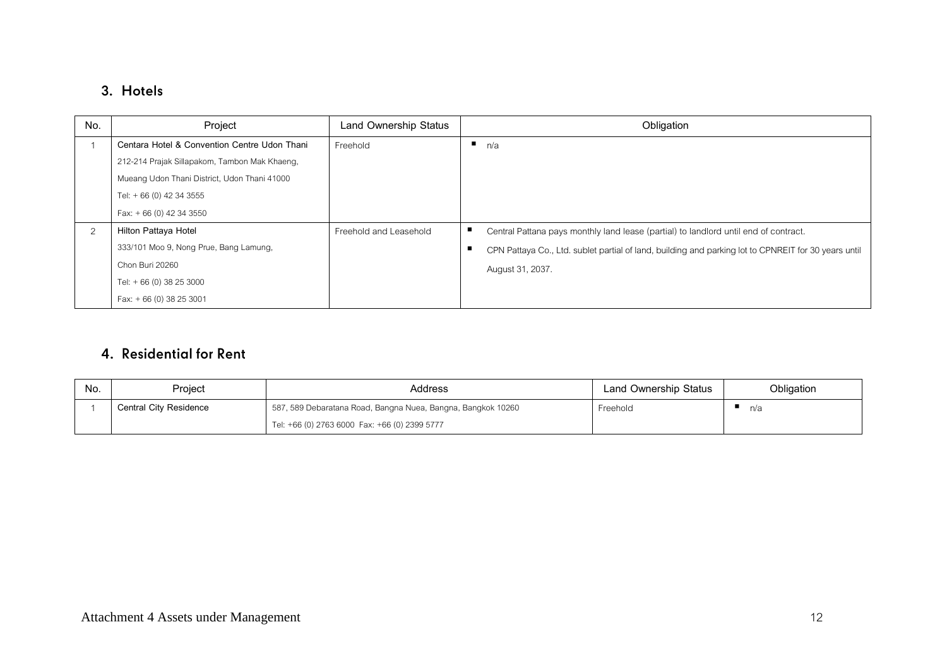## 3. Hotels

| No. | Project                                       | Land Ownership Status  | Obligation                                                                                           |
|-----|-----------------------------------------------|------------------------|------------------------------------------------------------------------------------------------------|
|     | Centara Hotel & Convention Centre Udon Thani  | Freehold               | n/a                                                                                                  |
|     | 212-214 Prajak Sillapakom, Tambon Mak Khaeng, |                        |                                                                                                      |
|     | Mueang Udon Thani District, Udon Thani 41000  |                        |                                                                                                      |
|     | Tel: $+66(0)$ 42 34 3555                      |                        |                                                                                                      |
|     | Fax: $+66(0)$ 42 34 3550                      |                        |                                                                                                      |
| 2   | Hilton Pattaya Hotel                          | Freehold and Leasehold | Central Pattana pays monthly land lease (partial) to landlord until end of contract.                 |
|     | 333/101 Moo 9, Nong Prue, Bang Lamung,        |                        | CPN Pattaya Co., Ltd. sublet partial of land, building and parking lot to CPNREIT for 30 years until |
|     | Chon Buri 20260                               |                        | August 31, 2037.                                                                                     |
|     | Tel: + 66 (0) 38 25 3000                      |                        |                                                                                                      |
|     | Fax: $+66(0)$ 38 25 3001                      |                        |                                                                                                      |

### 4. Residential for Rent

| No. | Project                | Address                                                      | Land Ownership Status | Obligation |
|-----|------------------------|--------------------------------------------------------------|-----------------------|------------|
|     | Central City Residence | 587, 589 Debaratana Road, Bangna Nuea, Bangna, Bangkok 10260 | Freehold              | n/a        |
|     |                        | Tel: +66 (0) 2763 6000 Fax: +66 (0) 2399 5777                |                       |            |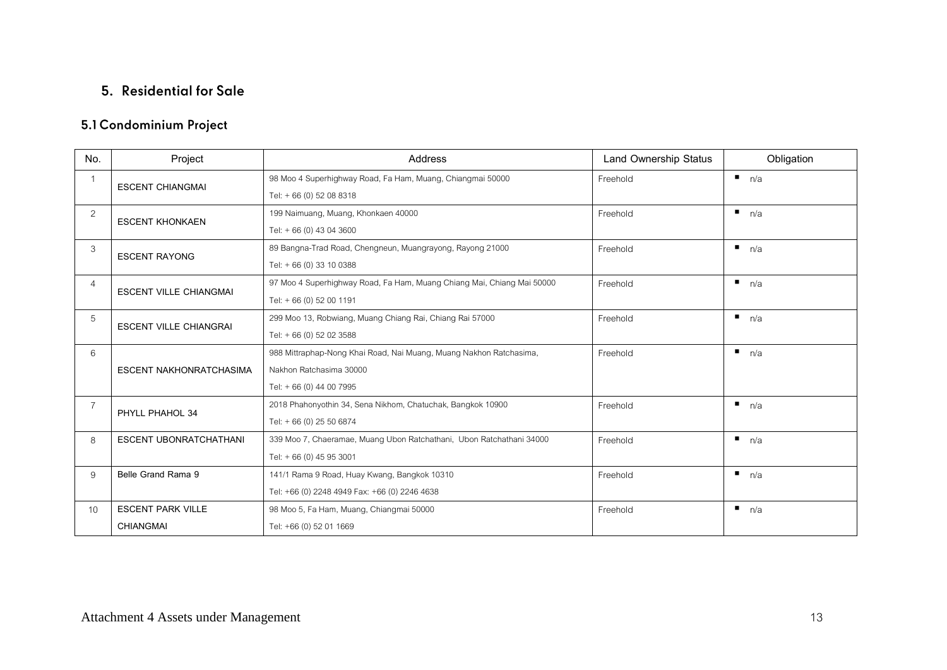## 5. Residential for Sale

## 5.1 Condominium Project

| No.             | Project                        | <b>Address</b>                                                         | <b>Land Ownership Status</b> | Obligation |
|-----------------|--------------------------------|------------------------------------------------------------------------|------------------------------|------------|
| $\mathbf{1}$    | <b>ESCENT CHIANGMAI</b>        | 98 Moo 4 Superhighway Road, Fa Ham, Muang, Chiangmai 50000             | Freehold                     | n/a        |
|                 |                                | Tel: + 66 (0) 52 08 8318                                               |                              |            |
| $\overline{2}$  | <b>ESCENT KHONKAEN</b>         | 199 Naimuang, Muang, Khonkaen 40000                                    | Freehold                     | n/a        |
|                 |                                | Tel: + 66 (0) 43 04 3600                                               |                              |            |
| 3               | <b>ESCENT RAYONG</b>           | 89 Bangna-Trad Road, Chengneun, Muangrayong, Rayong 21000              | Freehold                     | n/a        |
|                 |                                | Tel: + 66 (0) 33 10 0388                                               |                              |            |
| 4               | <b>ESCENT VILLE CHIANGMAI</b>  | 97 Moo 4 Superhighway Road, Fa Ham, Muang Chiang Mai, Chiang Mai 50000 | Freehold                     | n/a        |
|                 |                                | Tel: + 66 (0) 52 00 1191                                               |                              |            |
| 5               | <b>ESCENT VILLE CHIANGRAI</b>  | 299 Moo 13, Robwiang, Muang Chiang Rai, Chiang Rai 57000               | Freehold                     | n/a        |
|                 |                                | Tel: + 66 (0) 52 02 3588                                               |                              |            |
| 6               |                                | 988 Mittraphap-Nong Khai Road, Nai Muang, Muang Nakhon Ratchasima,     | Freehold                     | n/a        |
|                 | <b>ESCENT NAKHONRATCHASIMA</b> | Nakhon Ratchasima 30000                                                |                              |            |
|                 |                                | Tel: + 66 (0) 44 00 7995                                               |                              |            |
| $\overline{7}$  | PHYLL PHAHOL 34                | 2018 Phahonyothin 34, Sena Nikhom, Chatuchak, Bangkok 10900            | Freehold                     | n/a        |
|                 |                                | Tel: +66 (0) 25 50 6874                                                |                              |            |
| 8               | <b>ESCENT UBONRATCHATHANI</b>  | 339 Moo 7, Chaeramae, Muang Ubon Ratchathani, Ubon Ratchathani 34000   | Freehold                     | n/a        |
|                 |                                | Tel: +66 (0) 45 95 3001                                                |                              |            |
| 9               | Belle Grand Rama 9             | 141/1 Rama 9 Road, Huay Kwang, Bangkok 10310                           | Freehold                     | n/a        |
|                 |                                | Tel: +66 (0) 2248 4949 Fax: +66 (0) 2246 4638                          |                              |            |
| 10 <sup>1</sup> | <b>ESCENT PARK VILLE</b>       | 98 Moo 5, Fa Ham, Muang, Chiangmai 50000                               | Freehold                     | п.<br>n/a  |
|                 | <b>CHIANGMAI</b>               | Tel: +66 (0) 52 01 1669                                                |                              |            |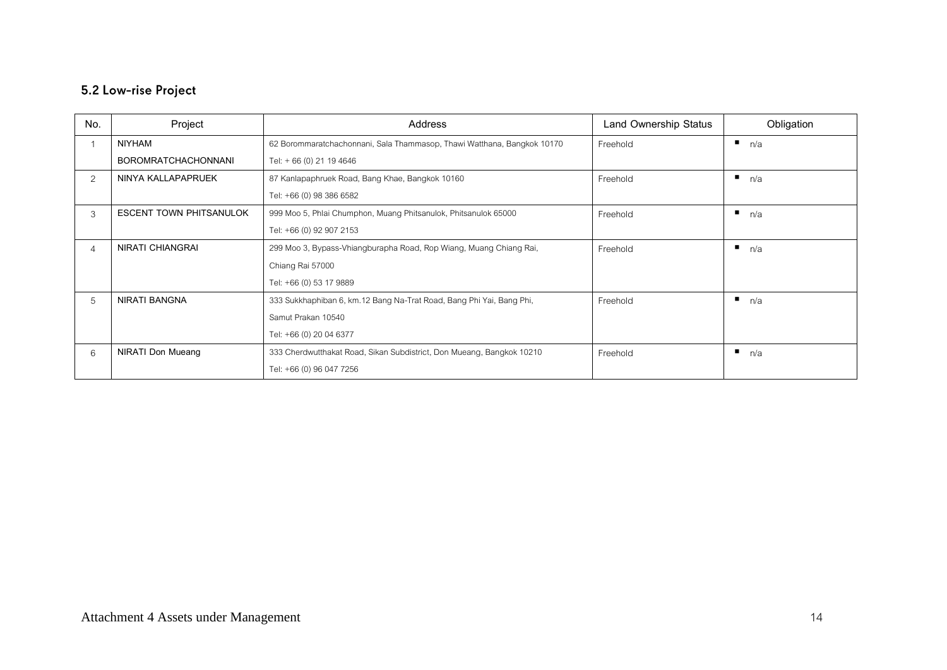## 5.2 Low-rise Project

| No. | Project                        | Address                                                                 | Land Ownership Status | Obligation |
|-----|--------------------------------|-------------------------------------------------------------------------|-----------------------|------------|
|     | NIYHAM                         | 62 Borommaratchachonnani, Sala Thammasop, Thawi Watthana, Bangkok 10170 | Freehold              | п<br>n/a   |
|     | <b>BOROMRATCHACHONNANI</b>     | Tel: + 66 (0) 21 19 4646                                                |                       |            |
| 2   | NINYA KALLAPAPRUEK             | 87 Kanlapaphruek Road, Bang Khae, Bangkok 10160                         | Freehold              | ٠<br>n/a   |
|     |                                | Tel: +66 (0) 98 386 6582                                                |                       |            |
| 3   | <b>ESCENT TOWN PHITSANULOK</b> | 999 Moo 5, Phlai Chumphon, Muang Phitsanulok, Phitsanulok 65000         | Freehold              | n/a        |
|     |                                | Tel: +66 (0) 92 907 2153                                                |                       |            |
| 4   | <b>NIRATI CHIANGRAI</b>        | 299 Moo 3, Bypass-Vhiangburapha Road, Rop Wiang, Muang Chiang Rai,      | Freehold              | ٠<br>n/a   |
|     |                                | Chiang Rai 57000                                                        |                       |            |
|     |                                | Tel: +66 (0) 53 17 9889                                                 |                       |            |
| 5   | NIRATI BANGNA                  | 333 Sukkhaphiban 6, km.12 Bang Na-Trat Road, Bang Phi Yai, Bang Phi,    | Freehold              | ٠<br>n/a   |
|     |                                | Samut Prakan 10540                                                      |                       |            |
|     |                                | Tel: +66 (0) 20 04 6377                                                 |                       |            |
| 6   | <b>NIRATI Don Mueang</b>       | 333 Cherdwutthakat Road, Sikan Subdistrict, Don Mueang, Bangkok 10210   | Freehold              | ٠<br>n/a   |
|     |                                | Tel: +66 (0) 96 047 7256                                                |                       |            |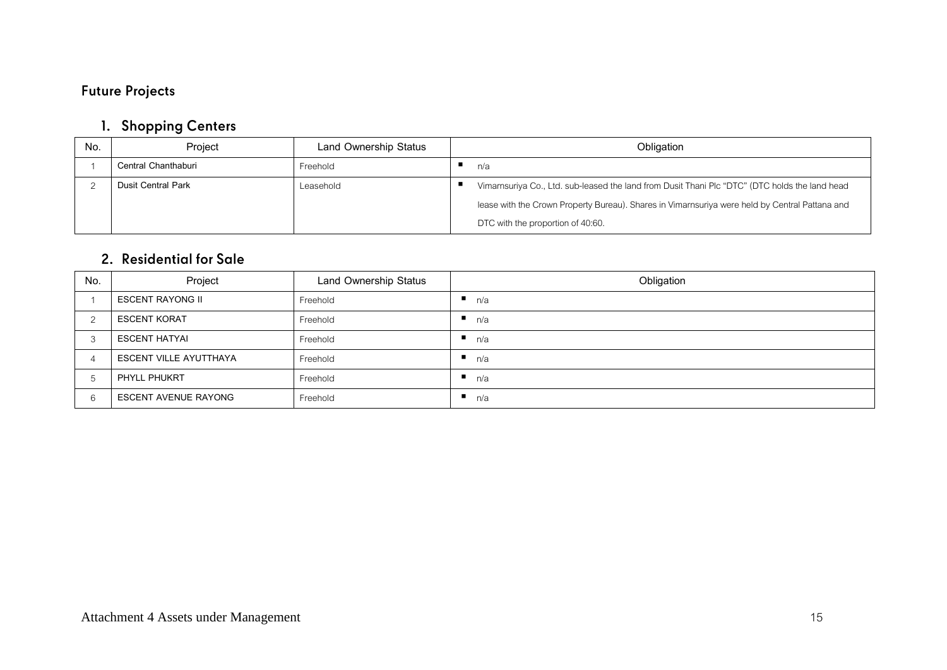## **Future Projects**

## 1. Shopping Centers

| No. | Project                   | Land Ownership Status | Obligation                                                                                     |
|-----|---------------------------|-----------------------|------------------------------------------------------------------------------------------------|
|     | Central Chanthaburi       | Freehold              | n/a                                                                                            |
|     | <b>Dusit Central Park</b> | I easehold            | Vimarnsuriya Co., Ltd. sub-leased the land from Dusit Thani Plc "DTC" (DTC holds the land head |
|     |                           |                       | lease with the Crown Property Bureau). Shares in Vimarnsuriya were held by Central Pattana and |
|     |                           |                       | DTC with the proportion of 40:60.                                                              |

### 2. Residential for Sale

| No.           | Project                       | Land Ownership Status | Obligation |
|---------------|-------------------------------|-----------------------|------------|
|               | ESCENT RAYONG II              | Freehold              | n/a        |
|               | <b>ESCENT KORAT</b>           | Freehold              | n/a<br>л.  |
| $\mathcal{B}$ | ESCENT HATYAI                 | Freehold              | n/a        |
|               | <b>ESCENT VILLE AYUTTHAYA</b> | Freehold              | n/a<br>п.  |
| 5             | PHYLL PHUKRT                  | Freehold              | n/a        |
| 6             | <b>ESCENT AVENUE RAYONG</b>   | Freehold              | n/a<br>л.  |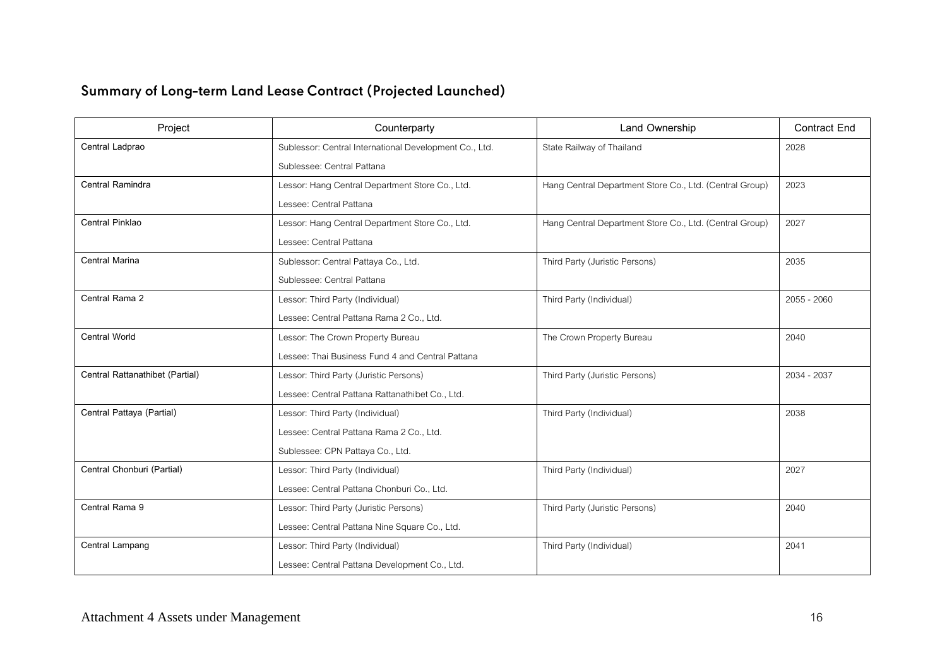# Summary of Long-term Land Lease Contract (Projected Launched)

| Project                         | Counterparty                                           | Land Ownership                                          | <b>Contract End</b> |
|---------------------------------|--------------------------------------------------------|---------------------------------------------------------|---------------------|
| Central Ladprao                 | Sublessor: Central International Development Co., Ltd. | State Railway of Thailand                               | 2028                |
|                                 | Sublessee: Central Pattana                             |                                                         |                     |
| Central Ramindra                | Lessor: Hang Central Department Store Co., Ltd.        | Hang Central Department Store Co., Ltd. (Central Group) | 2023                |
|                                 | Lessee: Central Pattana                                |                                                         |                     |
| Central Pinklao                 | Lessor: Hang Central Department Store Co., Ltd.        | Hang Central Department Store Co., Ltd. (Central Group) | 2027                |
|                                 | Lessee: Central Pattana                                |                                                         |                     |
| Central Marina                  | Sublessor: Central Pattaya Co., Ltd.                   | Third Party (Juristic Persons)                          | 2035                |
|                                 | Sublessee: Central Pattana                             |                                                         |                     |
| Central Rama 2                  | Lessor: Third Party (Individual)                       | Third Party (Individual)                                | $2055 - 2060$       |
|                                 | Lessee: Central Pattana Rama 2 Co., Ltd.               |                                                         |                     |
| <b>Central World</b>            | Lessor: The Crown Property Bureau                      | The Crown Property Bureau                               | 2040                |
|                                 | Lessee: Thai Business Fund 4 and Central Pattana       |                                                         |                     |
| Central Rattanathibet (Partial) | Lessor: Third Party (Juristic Persons)                 | Third Party (Juristic Persons)                          | 2034 - 2037         |
|                                 | Lessee: Central Pattana Rattanathibet Co., Ltd.        |                                                         |                     |
| Central Pattaya (Partial)       | Lessor: Third Party (Individual)                       | Third Party (Individual)                                | 2038                |
|                                 | Lessee: Central Pattana Rama 2 Co., Ltd.               |                                                         |                     |
|                                 | Sublessee: CPN Pattaya Co., Ltd.                       |                                                         |                     |
| Central Chonburi (Partial)      | Lessor: Third Party (Individual)                       | Third Party (Individual)                                | 2027                |
|                                 | Lessee: Central Pattana Chonburi Co., Ltd.             |                                                         |                     |
| Central Rama 9                  | Lessor: Third Party (Juristic Persons)                 | Third Party (Juristic Persons)                          | 2040                |
|                                 | Lessee: Central Pattana Nine Square Co., Ltd.          |                                                         |                     |
| Central Lampang                 | Lessor: Third Party (Individual)                       | Third Party (Individual)                                | 2041                |
|                                 | Lessee: Central Pattana Development Co., Ltd.          |                                                         |                     |